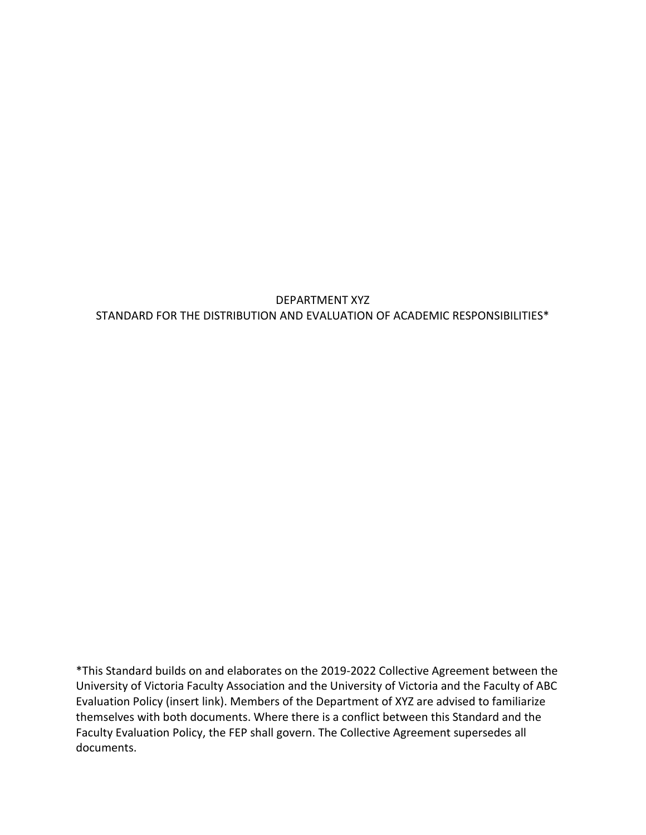# DEPARTMENT XYZ STANDARD FOR THE DISTRIBUTION AND EVALUATION OF ACADEMIC RESPONSIBILITIES\*

\*This Standard builds on and elaborates on the 2019-2022 Collective Agreement between the University of Victoria Faculty Association and the University of Victoria and the Faculty of ABC Evaluation Policy (insert link). Members of the Department of XYZ are advised to familiarize themselves with both documents. Where there is a conflict between this Standard and the Faculty Evaluation Policy, the FEP shall govern. The Collective Agreement supersedes all documents.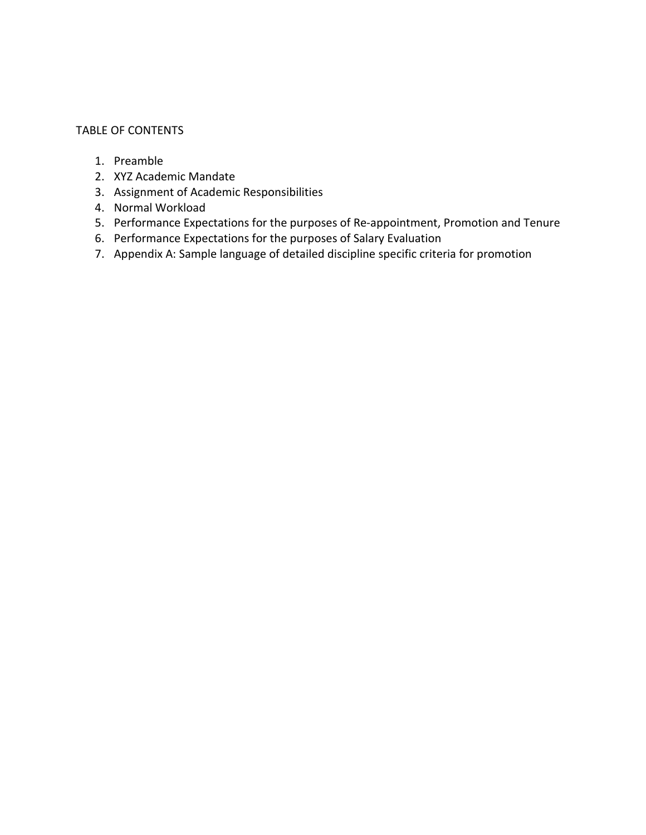#### TABLE OF CONTENTS

- 1. Preamble
- 2. XYZ Academic Mandate
- 3. Assignment of Academic Responsibilities
- 4. Normal Workload
- 5. Performance Expectations for the purposes of Re-appointment, Promotion and Tenure
- 6. Performance Expectations for the purposes of Salary Evaluation
- 7. Appendix A: Sample language of detailed discipline specific criteria for promotion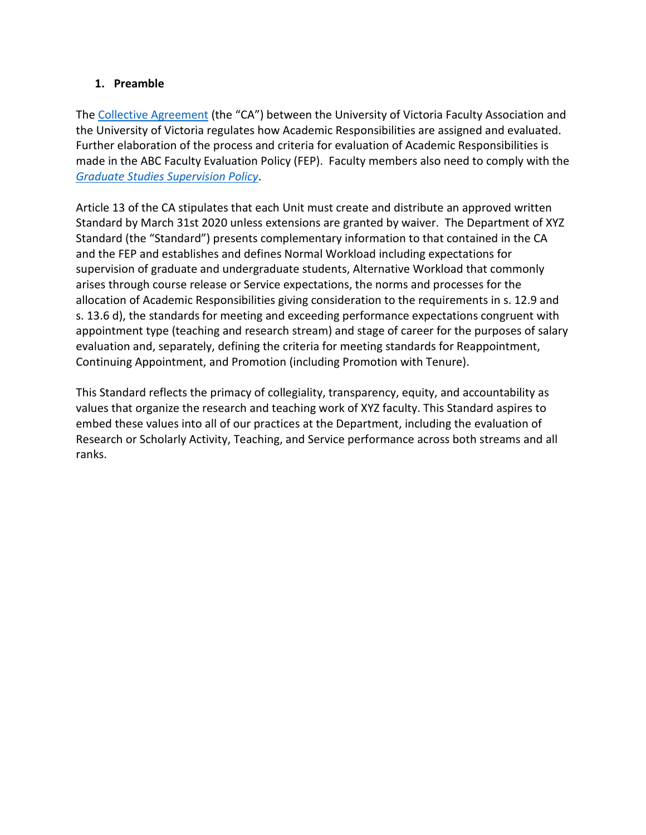### **1. Preamble**

The [Collective Agreement](https://www.uvic.ca/vpacademic/assets/docs/Collective%20Agreement.pdf) (the "CA") between the University of Victoria Faculty Association and the University of Victoria regulates how Academic Responsibilities are assigned and evaluated. Further elaboration of the process and criteria for evaluation of Academic Responsibilities is made in the ABC Faculty Evaluation Policy (FEP). Faculty members also need to comply with the *[Graduate Studies Supervision Policy](https://www.uvic.ca/graduatestudies/assets/docs/docs/policies/Graduate%20Supervision%20Policy.pdf)*.

Article 13 of the CA stipulates that each Unit must create and distribute an approved written Standard by March 31st 2020 unless extensions are granted by waiver. The Department of XYZ Standard (the "Standard") presents complementary information to that contained in the CA and the FEP and establishes and defines Normal Workload including expectations for supervision of graduate and undergraduate students, Alternative Workload that commonly arises through course release or Service expectations, the norms and processes for the allocation of Academic Responsibilities giving consideration to the requirements in s. 12.9 and s. 13.6 d), the standards for meeting and exceeding performance expectations congruent with appointment type (teaching and research stream) and stage of career for the purposes of salary evaluation and, separately, defining the criteria for meeting standards for Reappointment, Continuing Appointment, and Promotion (including Promotion with Tenure).

This Standard reflects the primacy of collegiality, transparency, equity, and accountability as values that organize the research and teaching work of XYZ faculty. This Standard aspires to embed these values into all of our practices at the Department, including the evaluation of Research or Scholarly Activity, Teaching, and Service performance across both streams and all ranks.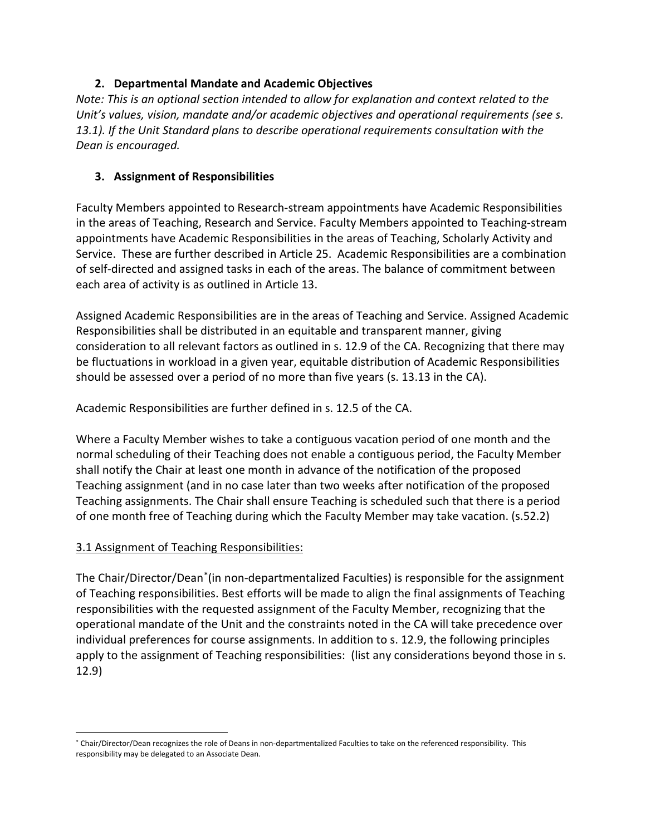# **2. Departmental Mandate and Academic Objectives**

*Note: This is an optional section intended to allow for explanation and context related to the Unit's values, vision, mandate and/or academic objectives and operational requirements (see s. 13.1). If the Unit Standard plans to describe operational requirements consultation with the Dean is encouraged.*

# **3. Assignment of Responsibilities**

Faculty Members appointed to Research-stream appointments have Academic Responsibilities in the areas of Teaching, Research and Service. Faculty Members appointed to Teaching-stream appointments have Academic Responsibilities in the areas of Teaching, Scholarly Activity and Service. These are further described in Article 25. Academic Responsibilities are a combination of self-directed and assigned tasks in each of the areas. The balance of commitment between each area of activity is as outlined in Article 13.

Assigned Academic Responsibilities are in the areas of Teaching and Service. Assigned Academic Responsibilities shall be distributed in an equitable and transparent manner, giving consideration to all relevant factors as outlined in s. 12.9 of the CA. Recognizing that there may be fluctuations in workload in a given year, equitable distribution of Academic Responsibilities should be assessed over a period of no more than five years (s. 13.13 in the CA).

Academic Responsibilities are further defined in s. 12.5 of the CA.

Where a Faculty Member wishes to take a contiguous vacation period of one month and the normal scheduling of their Teaching does not enable a contiguous period, the Faculty Member shall notify the Chair at least one month in advance of the notification of the proposed Teaching assignment (and in no case later than two weeks after notification of the proposed Teaching assignments. The Chair shall ensure Teaching is scheduled such that there is a period of one month free of Teaching during which the Faculty Member may take vacation. (s.52.2)

## 3.1 Assignment of Teaching Responsibilities:

The Chair/Director/Dean[\\*](#page-3-0)(in non-departmentalized Faculties) is responsible for the assignment of Teaching responsibilities. Best efforts will be made to align the final assignments of Teaching responsibilities with the requested assignment of the Faculty Member, recognizing that the operational mandate of the Unit and the constraints noted in the CA will take precedence over individual preferences for course assignments. In addition to s. 12.9, the following principles apply to the assignment of Teaching responsibilities: (list any considerations beyond those in s. 12.9)

<span id="page-3-0"></span> <sup>\*</sup> Chair/Director/Dean recognizes the role of Deans in non-departmentalized Faculties to take on the referenced responsibility. This responsibility may be delegated to an Associate Dean.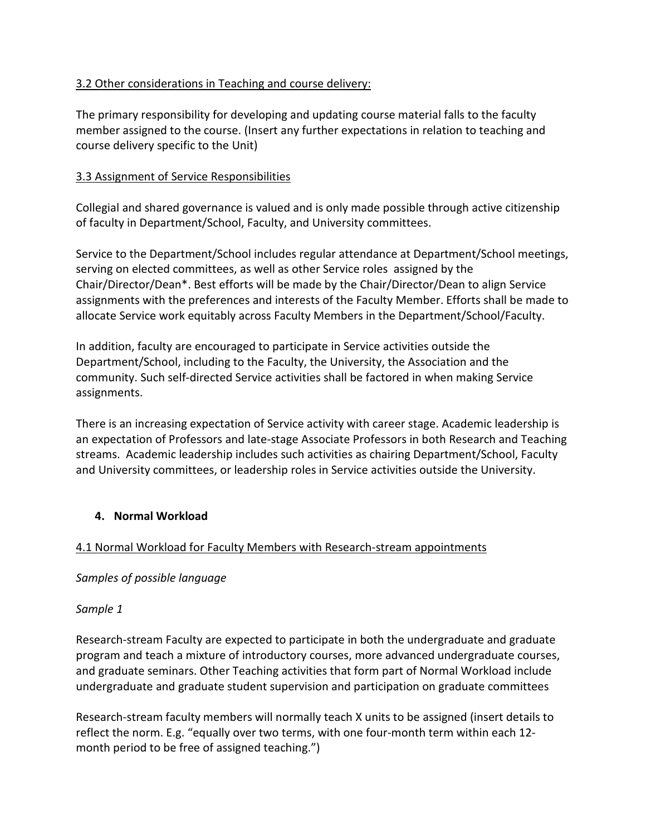# 3.2 Other considerations in Teaching and course delivery:

The primary responsibility for developing and updating course material falls to the faculty member assigned to the course. (Insert any further expectations in relation to teaching and course delivery specific to the Unit)

## 3.3 Assignment of Service Responsibilities

Collegial and shared governance is valued and is only made possible through active citizenship of faculty in Department/School, Faculty, and University committees.

Service to the Department/School includes regular attendance at Department/School meetings, serving on elected committees, as well as other Service roles assigned by the Chair/Director/Dean\*. Best efforts will be made by the Chair/Director/Dean to align Service assignments with the preferences and interests of the Faculty Member. Efforts shall be made to allocate Service work equitably across Faculty Members in the Department/School/Faculty.

In addition, faculty are encouraged to participate in Service activities outside the Department/School, including to the Faculty, the University, the Association and the community. Such self-directed Service activities shall be factored in when making Service assignments.

There is an increasing expectation of Service activity with career stage. Academic leadership is an expectation of Professors and late-stage Associate Professors in both Research and Teaching streams. Academic leadership includes such activities as chairing Department/School, Faculty and University committees, or leadership roles in Service activities outside the University.

## **4. Normal Workload**

## 4.1 Normal Workload for Faculty Members with Research-stream appointments

## *Samples of possible language*

## *Sample 1*

Research-stream Faculty are expected to participate in both the undergraduate and graduate program and teach a mixture of introductory courses, more advanced undergraduate courses, and graduate seminars. Other Teaching activities that form part of Normal Workload include undergraduate and graduate student supervision and participation on graduate committees

Research-stream faculty members will normally teach X units to be assigned (insert details to reflect the norm. E.g. "equally over two terms, with one four-month term within each 12 month period to be free of assigned teaching.")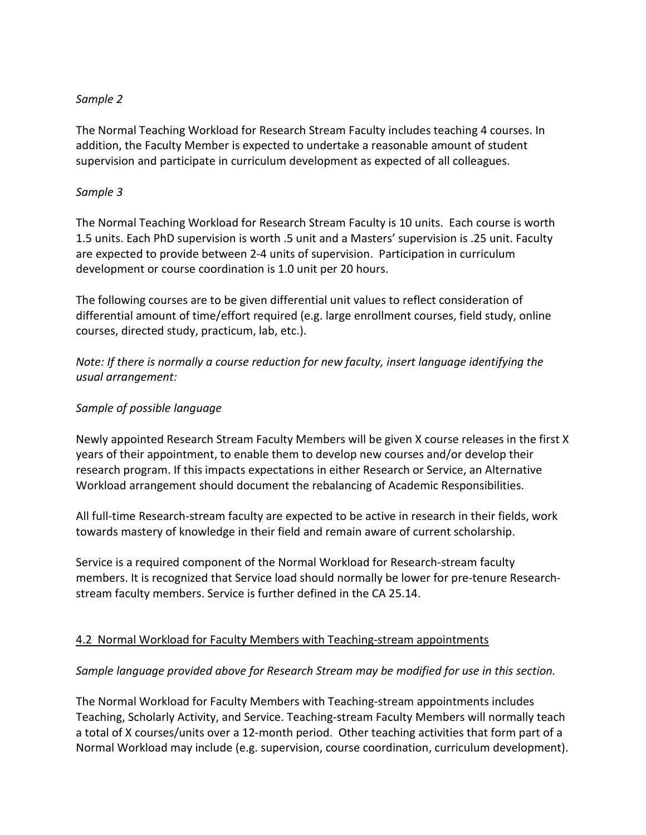#### *Sample 2*

The Normal Teaching Workload for Research Stream Faculty includes teaching 4 courses. In addition, the Faculty Member is expected to undertake a reasonable amount of student supervision and participate in curriculum development as expected of all colleagues.

### *Sample 3*

The Normal Teaching Workload for Research Stream Faculty is 10 units. Each course is worth 1.5 units. Each PhD supervision is worth .5 unit and a Masters' supervision is .25 unit. Faculty are expected to provide between 2-4 units of supervision. Participation in curriculum development or course coordination is 1.0 unit per 20 hours.

The following courses are to be given differential unit values to reflect consideration of differential amount of time/effort required (e.g. large enrollment courses, field study, online courses, directed study, practicum, lab, etc.).

*Note: If there is normally a course reduction for new faculty, insert language identifying the usual arrangement:* 

#### *Sample of possible language*

Newly appointed Research Stream Faculty Members will be given X course releases in the first X years of their appointment, to enable them to develop new courses and/or develop their research program. If this impacts expectations in either Research or Service, an Alternative Workload arrangement should document the rebalancing of Academic Responsibilities.

All full-time Research-stream faculty are expected to be active in research in their fields, work towards mastery of knowledge in their field and remain aware of current scholarship.

Service is a required component of the Normal Workload for Research-stream faculty members. It is recognized that Service load should normally be lower for pre-tenure Researchstream faculty members. Service is further defined in the CA 25.14.

## 4.2 Normal Workload for Faculty Members with Teaching-stream appointments

#### *Sample language provided above for Research Stream may be modified for use in this section.*

The Normal Workload for Faculty Members with Teaching-stream appointments includes Teaching, Scholarly Activity, and Service. Teaching-stream Faculty Members will normally teach a total of X courses/units over a 12-month period. Other teaching activities that form part of a Normal Workload may include (e.g. supervision, course coordination, curriculum development).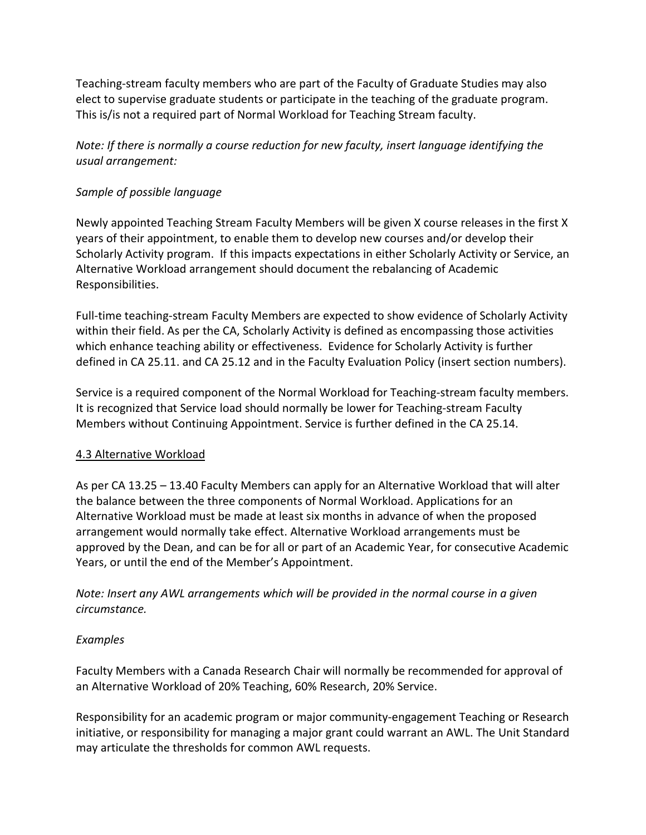Teaching-stream faculty members who are part of the Faculty of Graduate Studies may also elect to supervise graduate students or participate in the teaching of the graduate program. This is/is not a required part of Normal Workload for Teaching Stream faculty.

*Note: If there is normally a course reduction for new faculty, insert language identifying the usual arrangement:* 

# *Sample of possible language*

Newly appointed Teaching Stream Faculty Members will be given X course releases in the first X years of their appointment, to enable them to develop new courses and/or develop their Scholarly Activity program. If this impacts expectations in either Scholarly Activity or Service, an Alternative Workload arrangement should document the rebalancing of Academic Responsibilities.

Full-time teaching-stream Faculty Members are expected to show evidence of Scholarly Activity within their field. As per the CA, Scholarly Activity is defined as encompassing those activities which enhance teaching ability or effectiveness. Evidence for Scholarly Activity is further defined in CA 25.11. and CA 25.12 and in the Faculty Evaluation Policy (insert section numbers).

Service is a required component of the Normal Workload for Teaching-stream faculty members. It is recognized that Service load should normally be lower for Teaching-stream Faculty Members without Continuing Appointment. Service is further defined in the CA 25.14.

## 4.3 Alternative Workload

As per CA 13.25 – 13.40 Faculty Members can apply for an Alternative Workload that will alter the balance between the three components of Normal Workload. Applications for an Alternative Workload must be made at least six months in advance of when the proposed arrangement would normally take effect. Alternative Workload arrangements must be approved by the Dean, and can be for all or part of an Academic Year, for consecutive Academic Years, or until the end of the Member's Appointment.

*Note: Insert any AWL arrangements which will be provided in the normal course in a given circumstance.*

## *Examples*

Faculty Members with a Canada Research Chair will normally be recommended for approval of an Alternative Workload of 20% Teaching, 60% Research, 20% Service.

Responsibility for an academic program or major community-engagement Teaching or Research initiative, or responsibility for managing a major grant could warrant an AWL. The Unit Standard may articulate the thresholds for common AWL requests.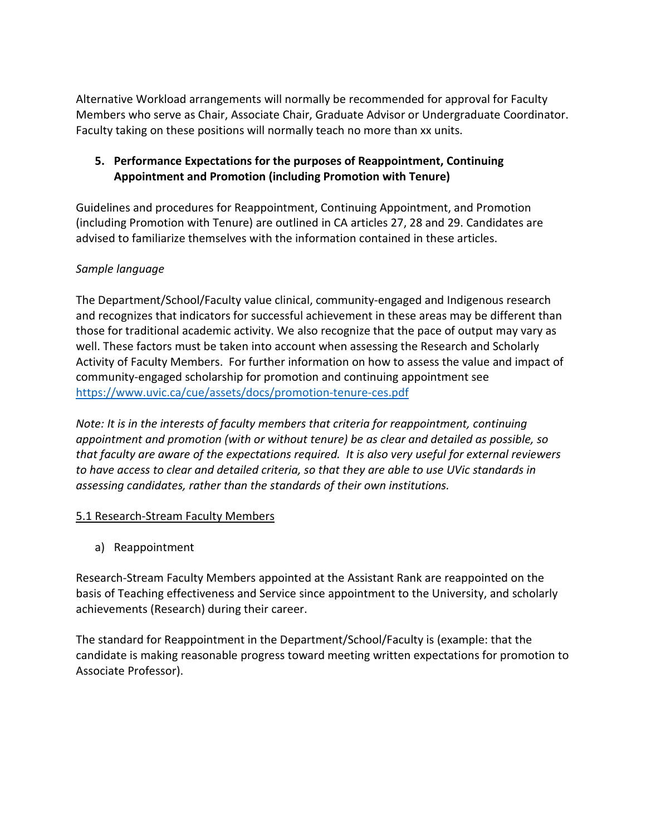Alternative Workload arrangements will normally be recommended for approval for Faculty Members who serve as Chair, Associate Chair, Graduate Advisor or Undergraduate Coordinator. Faculty taking on these positions will normally teach no more than xx units.

# **5. Performance Expectations for the purposes of Reappointment, Continuing Appointment and Promotion (including Promotion with Tenure)**

Guidelines and procedures for Reappointment, Continuing Appointment, and Promotion (including Promotion with Tenure) are outlined in CA articles 27, 28 and 29. Candidates are advised to familiarize themselves with the information contained in these articles.

# *Sample language*

The Department/School/Faculty value clinical, community-engaged and Indigenous research and recognizes that indicators for successful achievement in these areas may be different than those for traditional academic activity. We also recognize that the pace of output may vary as well. These factors must be taken into account when assessing the Research and Scholarly Activity of Faculty Members. For further information on how to assess the value and impact of community-engaged scholarship for promotion and continuing appointment see <https://www.uvic.ca/cue/assets/docs/promotion-tenure-ces.pdf>

*Note: It is in the interests of faculty members that criteria for reappointment, continuing appointment and promotion (with or without tenure) be as clear and detailed as possible, so that faculty are aware of the expectations required. It is also very useful for external reviewers to have access to clear and detailed criteria, so that they are able to use UVic standards in assessing candidates, rather than the standards of their own institutions.*

## 5.1 Research-Stream Faculty Members

a) Reappointment

Research-Stream Faculty Members appointed at the Assistant Rank are reappointed on the basis of Teaching effectiveness and Service since appointment to the University, and scholarly achievements (Research) during their career.

The standard for Reappointment in the Department/School/Faculty is (example: that the candidate is making reasonable progress toward meeting written expectations for promotion to Associate Professor).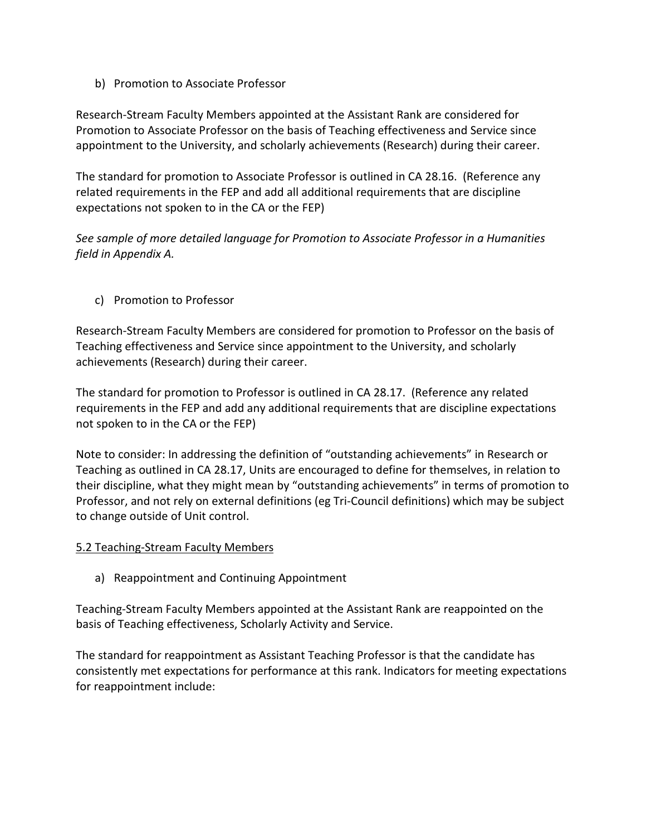b) Promotion to Associate Professor

Research-Stream Faculty Members appointed at the Assistant Rank are considered for Promotion to Associate Professor on the basis of Teaching effectiveness and Service since appointment to the University, and scholarly achievements (Research) during their career.

The standard for promotion to Associate Professor is outlined in CA 28.16. (Reference any related requirements in the FEP and add all additional requirements that are discipline expectations not spoken to in the CA or the FEP)

*See sample of more detailed language for Promotion to Associate Professor in a Humanities field in Appendix A.*

c) Promotion to Professor

Research-Stream Faculty Members are considered for promotion to Professor on the basis of Teaching effectiveness and Service since appointment to the University, and scholarly achievements (Research) during their career.

The standard for promotion to Professor is outlined in CA 28.17. (Reference any related requirements in the FEP and add any additional requirements that are discipline expectations not spoken to in the CA or the FEP)

Note to consider: In addressing the definition of "outstanding achievements" in Research or Teaching as outlined in CA 28.17, Units are encouraged to define for themselves, in relation to their discipline, what they might mean by "outstanding achievements" in terms of promotion to Professor, and not rely on external definitions (eg Tri-Council definitions) which may be subject to change outside of Unit control.

#### 5.2 Teaching-Stream Faculty Members

a) Reappointment and Continuing Appointment

Teaching-Stream Faculty Members appointed at the Assistant Rank are reappointed on the basis of Teaching effectiveness, Scholarly Activity and Service.

The standard for reappointment as Assistant Teaching Professor is that the candidate has consistently met expectations for performance at this rank. Indicators for meeting expectations for reappointment include: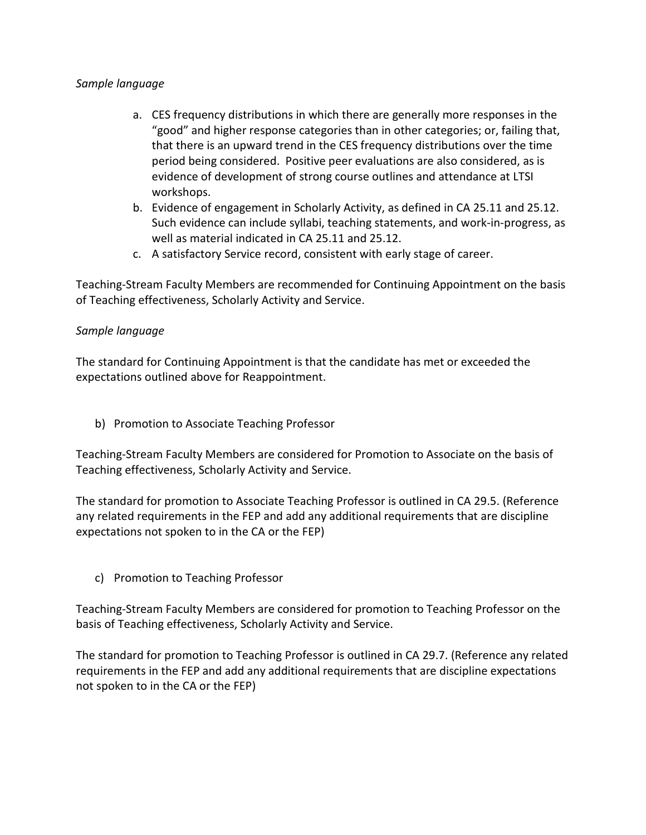### *Sample language*

- a. CES frequency distributions in which there are generally more responses in the "good" and higher response categories than in other categories; or, failing that, that there is an upward trend in the CES frequency distributions over the time period being considered. Positive peer evaluations are also considered, as is evidence of development of strong course outlines and attendance at LTSI workshops.
- b. Evidence of engagement in Scholarly Activity, as defined in CA 25.11 and 25.12. Such evidence can include syllabi, teaching statements, and work-in-progress, as well as material indicated in CA 25.11 and 25.12.
- c. A satisfactory Service record, consistent with early stage of career.

Teaching-Stream Faculty Members are recommended for Continuing Appointment on the basis of Teaching effectiveness, Scholarly Activity and Service.

#### *Sample language*

The standard for Continuing Appointment is that the candidate has met or exceeded the expectations outlined above for Reappointment.

b) Promotion to Associate Teaching Professor

Teaching-Stream Faculty Members are considered for Promotion to Associate on the basis of Teaching effectiveness, Scholarly Activity and Service.

The standard for promotion to Associate Teaching Professor is outlined in CA 29.5. (Reference any related requirements in the FEP and add any additional requirements that are discipline expectations not spoken to in the CA or the FEP)

c) Promotion to Teaching Professor

Teaching-Stream Faculty Members are considered for promotion to Teaching Professor on the basis of Teaching effectiveness, Scholarly Activity and Service.

The standard for promotion to Teaching Professor is outlined in CA 29.7. (Reference any related requirements in the FEP and add any additional requirements that are discipline expectations not spoken to in the CA or the FEP)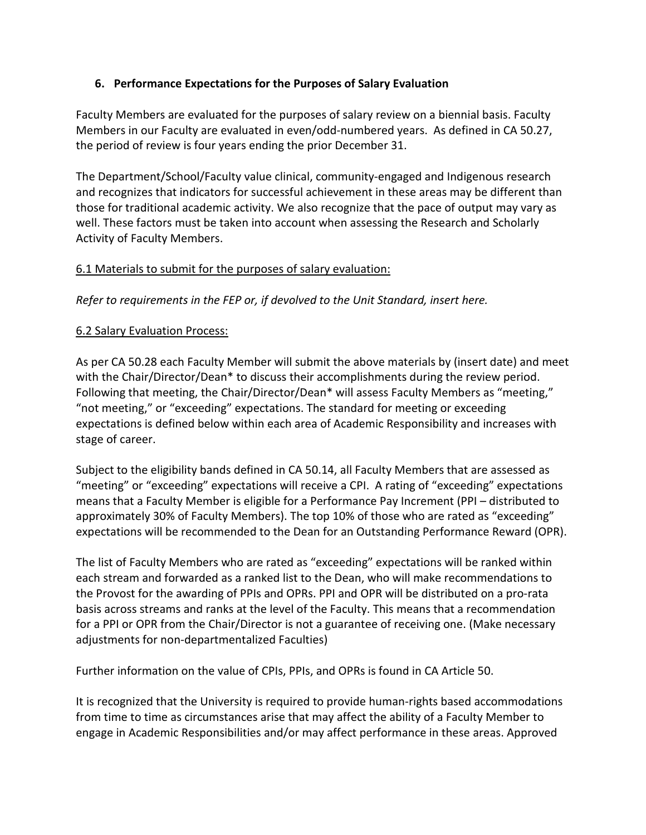# **6. Performance Expectations for the Purposes of Salary Evaluation**

Faculty Members are evaluated for the purposes of salary review on a biennial basis. Faculty Members in our Faculty are evaluated in even/odd-numbered years. As defined in CA 50.27, the period of review is four years ending the prior December 31.

The Department/School/Faculty value clinical, community-engaged and Indigenous research and recognizes that indicators for successful achievement in these areas may be different than those for traditional academic activity. We also recognize that the pace of output may vary as well. These factors must be taken into account when assessing the Research and Scholarly Activity of Faculty Members.

# 6.1 Materials to submit for the purposes of salary evaluation:

*Refer to requirements in the FEP or, if devolved to the Unit Standard, insert here.* 

# 6.2 Salary Evaluation Process:

As per CA 50.28 each Faculty Member will submit the above materials by (insert date) and meet with the Chair/Director/Dean\* to discuss their accomplishments during the review period. Following that meeting, the Chair/Director/Dean\* will assess Faculty Members as "meeting," "not meeting," or "exceeding" expectations. The standard for meeting or exceeding expectations is defined below within each area of Academic Responsibility and increases with stage of career.

Subject to the eligibility bands defined in CA 50.14, all Faculty Members that are assessed as "meeting" or "exceeding" expectations will receive a CPI. A rating of "exceeding" expectations means that a Faculty Member is eligible for a Performance Pay Increment (PPI – distributed to approximately 30% of Faculty Members). The top 10% of those who are rated as "exceeding" expectations will be recommended to the Dean for an Outstanding Performance Reward (OPR).

The list of Faculty Members who are rated as "exceeding" expectations will be ranked within each stream and forwarded as a ranked list to the Dean, who will make recommendations to the Provost for the awarding of PPIs and OPRs. PPI and OPR will be distributed on a pro-rata basis across streams and ranks at the level of the Faculty. This means that a recommendation for a PPI or OPR from the Chair/Director is not a guarantee of receiving one. (Make necessary adjustments for non-departmentalized Faculties)

Further information on the value of CPIs, PPIs, and OPRs is found in CA Article 50.

It is recognized that the University is required to provide human-rights based accommodations from time to time as circumstances arise that may affect the ability of a Faculty Member to engage in Academic Responsibilities and/or may affect performance in these areas. Approved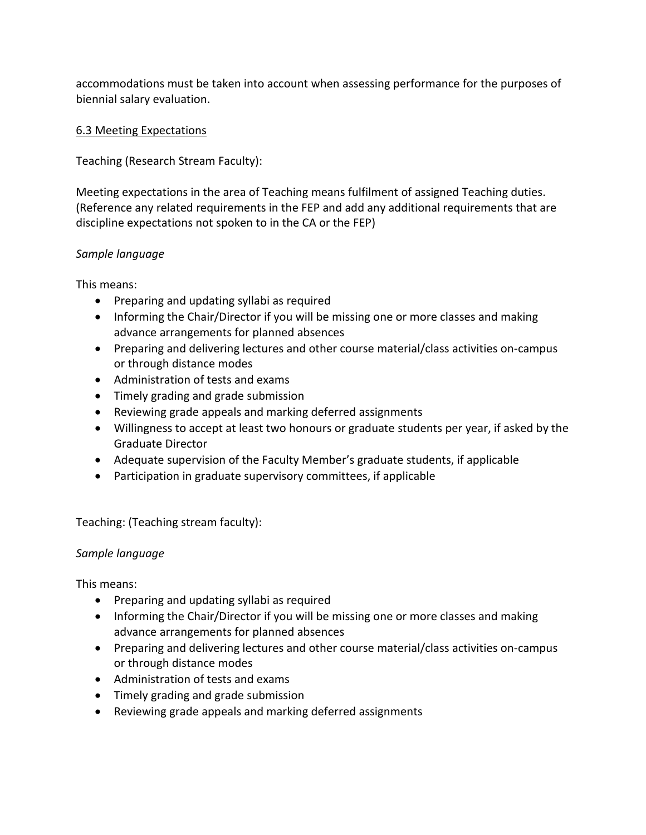accommodations must be taken into account when assessing performance for the purposes of biennial salary evaluation.

# 6.3 Meeting Expectations

Teaching (Research Stream Faculty):

Meeting expectations in the area of Teaching means fulfilment of assigned Teaching duties. (Reference any related requirements in the FEP and add any additional requirements that are discipline expectations not spoken to in the CA or the FEP)

# *Sample language*

This means:

- Preparing and updating syllabi as required
- Informing the Chair/Director if you will be missing one or more classes and making advance arrangements for planned absences
- Preparing and delivering lectures and other course material/class activities on-campus or through distance modes
- Administration of tests and exams
- Timely grading and grade submission
- Reviewing grade appeals and marking deferred assignments
- Willingness to accept at least two honours or graduate students per year, if asked by the Graduate Director
- Adequate supervision of the Faculty Member's graduate students, if applicable
- Participation in graduate supervisory committees, if applicable

Teaching: (Teaching stream faculty):

## *Sample language*

This means:

- Preparing and updating syllabi as required
- Informing the Chair/Director if you will be missing one or more classes and making advance arrangements for planned absences
- Preparing and delivering lectures and other course material/class activities on-campus or through distance modes
- Administration of tests and exams
- Timely grading and grade submission
- Reviewing grade appeals and marking deferred assignments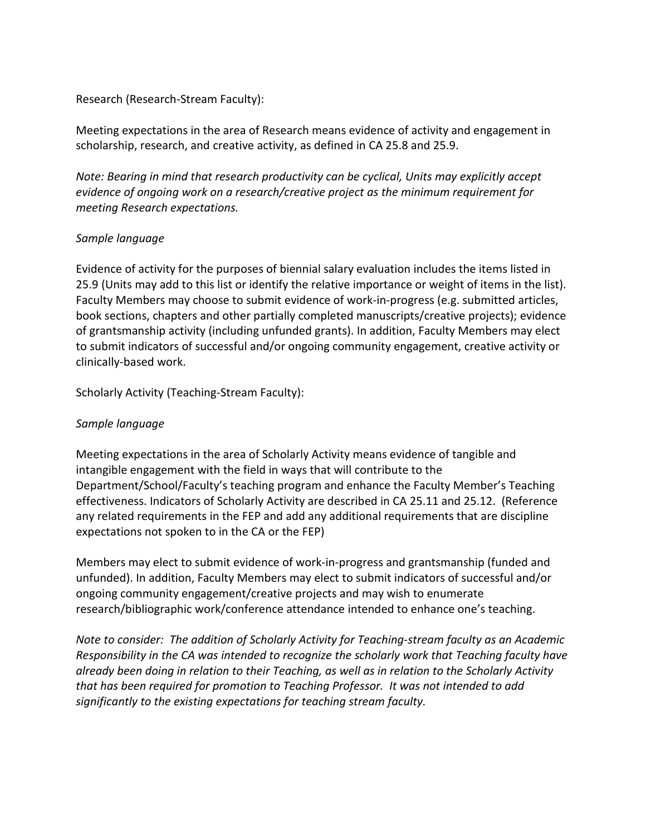#### Research (Research-Stream Faculty):

Meeting expectations in the area of Research means evidence of activity and engagement in scholarship, research, and creative activity, as defined in CA 25.8 and 25.9.

*Note: Bearing in mind that research productivity can be cyclical, Units may explicitly accept evidence of ongoing work on a research/creative project as the minimum requirement for meeting Research expectations.* 

#### *Sample language*

Evidence of activity for the purposes of biennial salary evaluation includes the items listed in 25.9 (Units may add to this list or identify the relative importance or weight of items in the list). Faculty Members may choose to submit evidence of work-in-progress (e.g. submitted articles, book sections, chapters and other partially completed manuscripts/creative projects); evidence of grantsmanship activity (including unfunded grants). In addition, Faculty Members may elect to submit indicators of successful and/or ongoing community engagement, creative activity or clinically-based work.

Scholarly Activity (Teaching-Stream Faculty):

## *Sample language*

Meeting expectations in the area of Scholarly Activity means evidence of tangible and intangible engagement with the field in ways that will contribute to the Department/School/Faculty's teaching program and enhance the Faculty Member's Teaching effectiveness. Indicators of Scholarly Activity are described in CA 25.11 and 25.12. (Reference any related requirements in the FEP and add any additional requirements that are discipline expectations not spoken to in the CA or the FEP)

Members may elect to submit evidence of work-in-progress and grantsmanship (funded and unfunded). In addition, Faculty Members may elect to submit indicators of successful and/or ongoing community engagement/creative projects and may wish to enumerate research/bibliographic work/conference attendance intended to enhance one's teaching.

*Note to consider: The addition of Scholarly Activity for Teaching-stream faculty as an Academic Responsibility in the CA was intended to recognize the scholarly work that Teaching faculty have already been doing in relation to their Teaching, as well as in relation to the Scholarly Activity that has been required for promotion to Teaching Professor. It was not intended to add significantly to the existing expectations for teaching stream faculty.*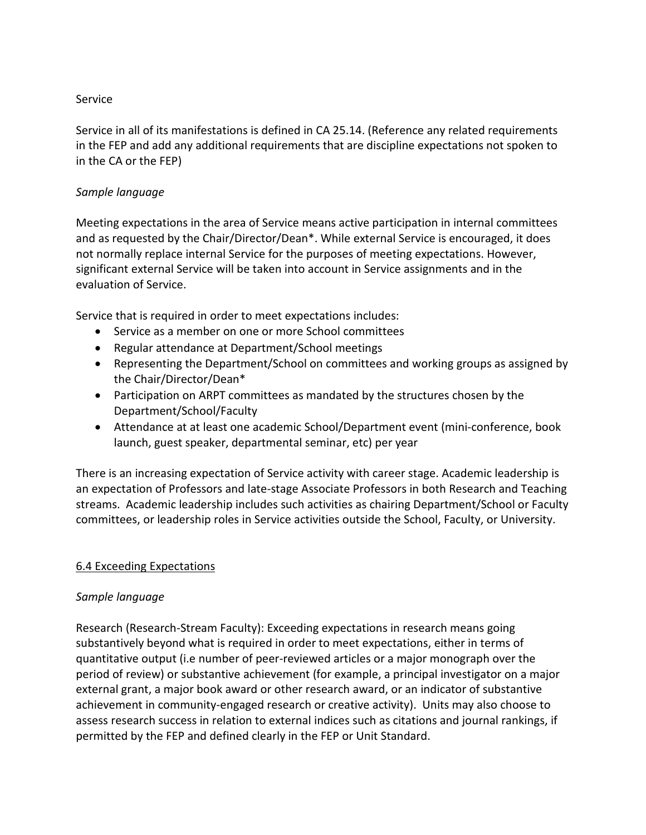#### Service

Service in all of its manifestations is defined in CA 25.14. (Reference any related requirements in the FEP and add any additional requirements that are discipline expectations not spoken to in the CA or the FEP)

### *Sample language*

Meeting expectations in the area of Service means active participation in internal committees and as requested by the Chair/Director/Dean\*. While external Service is encouraged, it does not normally replace internal Service for the purposes of meeting expectations. However, significant external Service will be taken into account in Service assignments and in the evaluation of Service.

Service that is required in order to meet expectations includes:

- Service as a member on one or more School committees
- Regular attendance at Department/School meetings
- Representing the Department/School on committees and working groups as assigned by the Chair/Director/Dean\*
- Participation on ARPT committees as mandated by the structures chosen by the Department/School/Faculty
- Attendance at at least one academic School/Department event (mini-conference, book launch, guest speaker, departmental seminar, etc) per year

There is an increasing expectation of Service activity with career stage. Academic leadership is an expectation of Professors and late-stage Associate Professors in both Research and Teaching streams. Academic leadership includes such activities as chairing Department/School or Faculty committees, or leadership roles in Service activities outside the School, Faculty, or University.

#### 6.4 Exceeding Expectations

#### *Sample language*

Research (Research-Stream Faculty): Exceeding expectations in research means going substantively beyond what is required in order to meet expectations, either in terms of quantitative output (i.e number of peer-reviewed articles or a major monograph over the period of review) or substantive achievement (for example, a principal investigator on a major external grant, a major book award or other research award, or an indicator of substantive achievement in community-engaged research or creative activity). Units may also choose to assess research success in relation to external indices such as citations and journal rankings, if permitted by the FEP and defined clearly in the FEP or Unit Standard.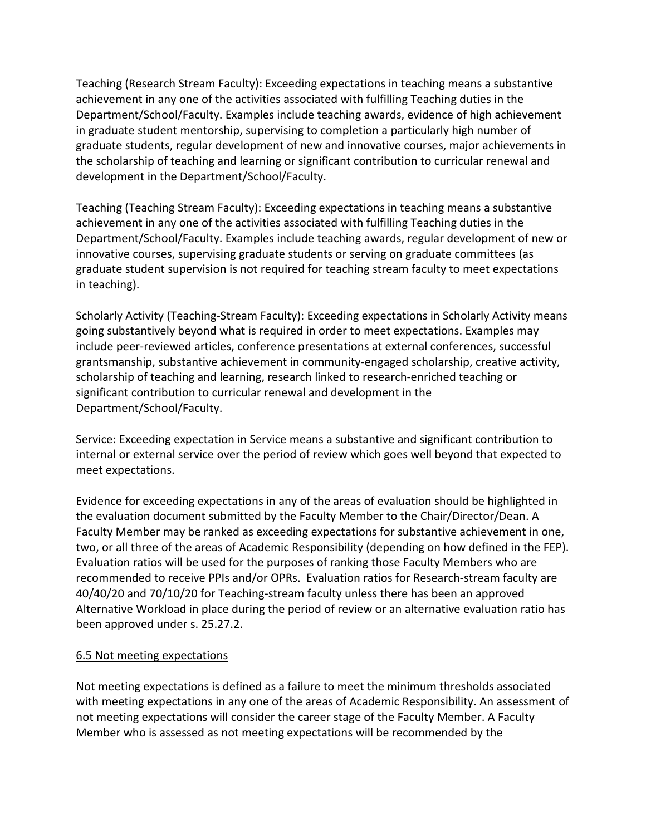Teaching (Research Stream Faculty): Exceeding expectations in teaching means a substantive achievement in any one of the activities associated with fulfilling Teaching duties in the Department/School/Faculty. Examples include teaching awards, evidence of high achievement in graduate student mentorship, supervising to completion a particularly high number of graduate students, regular development of new and innovative courses, major achievements in the scholarship of teaching and learning or significant contribution to curricular renewal and development in the Department/School/Faculty.

Teaching (Teaching Stream Faculty): Exceeding expectations in teaching means a substantive achievement in any one of the activities associated with fulfilling Teaching duties in the Department/School/Faculty. Examples include teaching awards, regular development of new or innovative courses, supervising graduate students or serving on graduate committees (as graduate student supervision is not required for teaching stream faculty to meet expectations in teaching).

Scholarly Activity (Teaching-Stream Faculty): Exceeding expectations in Scholarly Activity means going substantively beyond what is required in order to meet expectations. Examples may include peer-reviewed articles, conference presentations at external conferences, successful grantsmanship, substantive achievement in community-engaged scholarship, creative activity, scholarship of teaching and learning, research linked to research-enriched teaching or significant contribution to curricular renewal and development in the Department/School/Faculty.

Service: Exceeding expectation in Service means a substantive and significant contribution to internal or external service over the period of review which goes well beyond that expected to meet expectations.

Evidence for exceeding expectations in any of the areas of evaluation should be highlighted in the evaluation document submitted by the Faculty Member to the Chair/Director/Dean. A Faculty Member may be ranked as exceeding expectations for substantive achievement in one, two, or all three of the areas of Academic Responsibility (depending on how defined in the FEP). Evaluation ratios will be used for the purposes of ranking those Faculty Members who are recommended to receive PPIs and/or OPRs. Evaluation ratios for Research-stream faculty are 40/40/20 and 70/10/20 for Teaching-stream faculty unless there has been an approved Alternative Workload in place during the period of review or an alternative evaluation ratio has been approved under s. 25.27.2.

## 6.5 Not meeting expectations

Not meeting expectations is defined as a failure to meet the minimum thresholds associated with meeting expectations in any one of the areas of Academic Responsibility. An assessment of not meeting expectations will consider the career stage of the Faculty Member. A Faculty Member who is assessed as not meeting expectations will be recommended by the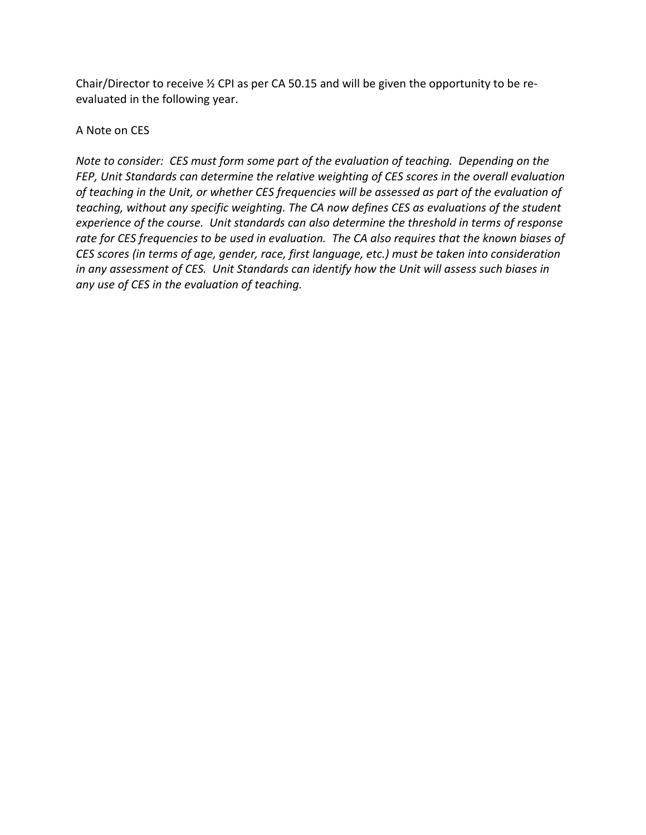Chair/Director to receive ½ CPI as per CA 50.15 and will be given the opportunity to be reevaluated in the following year.

A Note on CES

*Note to consider: CES must form some part of the evaluation of teaching. Depending on the FEP, Unit Standards can determine the relative weighting of CES scores in the overall evaluation of teaching in the Unit, or whether CES frequencies will be assessed as part of the evaluation of teaching, without any specific weighting. The CA now defines CES as evaluations of the student experience of the course. Unit standards can also determine the threshold in terms of response rate for CES frequencies to be used in evaluation. The CA also requires that the known biases of CES scores (in terms of age, gender, race, first language, etc.) must be taken into consideration in any assessment of CES. Unit Standards can identify how the Unit will assess such biases in any use of CES in the evaluation of teaching.*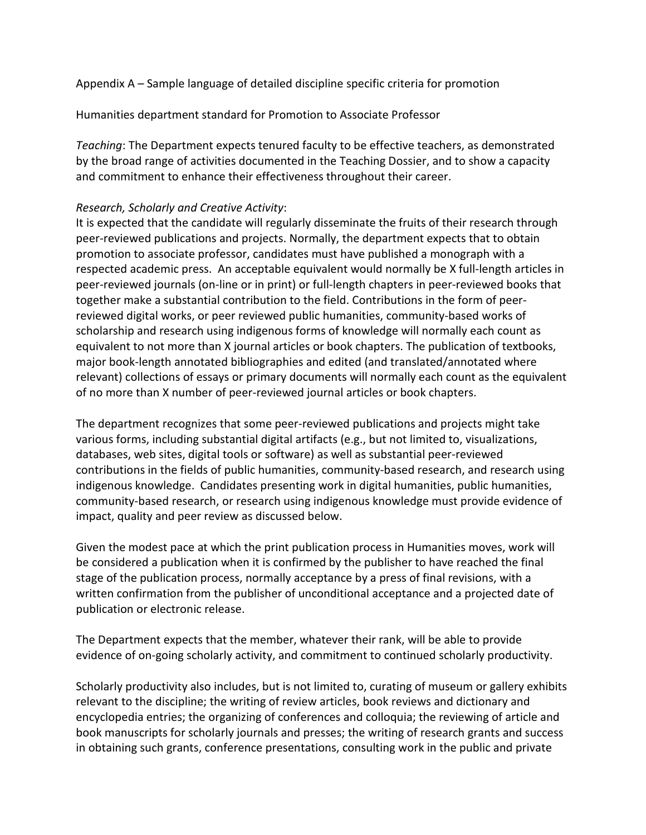Appendix A – Sample language of detailed discipline specific criteria for promotion

Humanities department standard for Promotion to Associate Professor

*Teaching*: The Department expects tenured faculty to be effective teachers, as demonstrated by the broad range of activities documented in the Teaching Dossier, and to show a capacity and commitment to enhance their effectiveness throughout their career.

#### *Research, Scholarly and Creative Activity*:

It is expected that the candidate will regularly disseminate the fruits of their research through peer-reviewed publications and projects. Normally, the department expects that to obtain promotion to associate professor, candidates must have published a monograph with a respected academic press. An acceptable equivalent would normally be X full-length articles in peer-reviewed journals (on-line or in print) or full-length chapters in peer-reviewed books that together make a substantial contribution to the field. Contributions in the form of peerreviewed digital works, or peer reviewed public humanities, community-based works of scholarship and research using indigenous forms of knowledge will normally each count as equivalent to not more than X journal articles or book chapters. The publication of textbooks, major book-length annotated bibliographies and edited (and translated/annotated where relevant) collections of essays or primary documents will normally each count as the equivalent of no more than X number of peer-reviewed journal articles or book chapters.

The department recognizes that some peer-reviewed publications and projects might take various forms, including substantial digital artifacts (e.g., but not limited to, visualizations, databases, web sites, digital tools or software) as well as substantial peer-reviewed contributions in the fields of public humanities, community-based research, and research using indigenous knowledge. Candidates presenting work in digital humanities, public humanities, community-based research, or research using indigenous knowledge must provide evidence of impact, quality and peer review as discussed below.

Given the modest pace at which the print publication process in Humanities moves, work will be considered a publication when it is confirmed by the publisher to have reached the final stage of the publication process, normally acceptance by a press of final revisions, with a written confirmation from the publisher of unconditional acceptance and a projected date of publication or electronic release.

The Department expects that the member, whatever their rank, will be able to provide evidence of on-going scholarly activity, and commitment to continued scholarly productivity.

Scholarly productivity also includes, but is not limited to, curating of museum or gallery exhibits relevant to the discipline; the writing of review articles, book reviews and dictionary and encyclopedia entries; the organizing of conferences and colloquia; the reviewing of article and book manuscripts for scholarly journals and presses; the writing of research grants and success in obtaining such grants, conference presentations, consulting work in the public and private